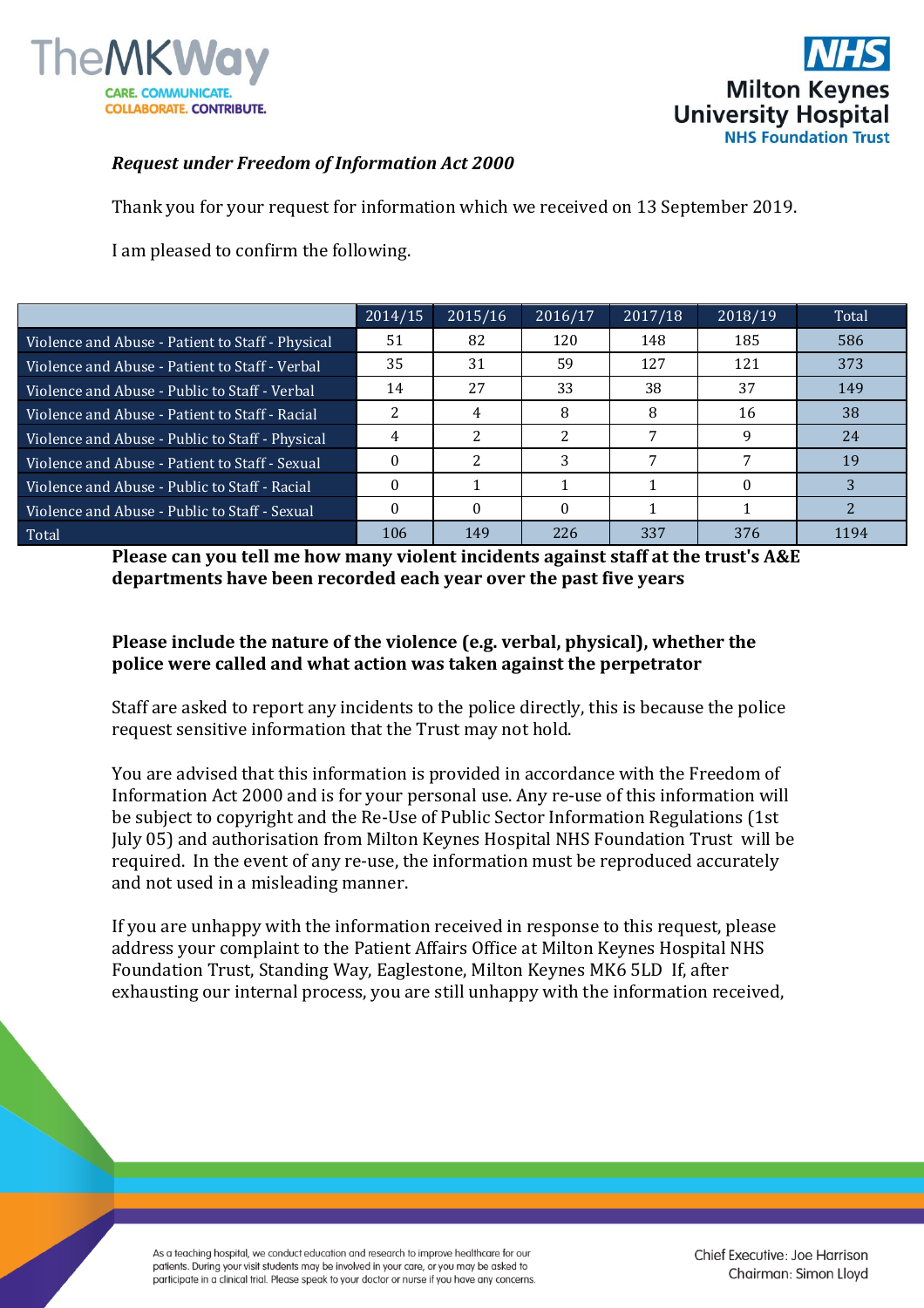



## *Request under Freedom of Information Act 2000*

Thank you for your request for information which we received on 13 September 2019.

I am pleased to confirm the following.

|                                                  | $\sqrt{2014}/15$ | 2015/16 | 2016/17 | 2017/18 | 2018/19 | Total |
|--------------------------------------------------|------------------|---------|---------|---------|---------|-------|
| Violence and Abuse - Patient to Staff - Physical | 51               | 82      | 120     | 148     | 185     | 586   |
| Violence and Abuse - Patient to Staff - Verbal   | 35               | 31      | 59      | 127     | 121     | 373   |
| Violence and Abuse - Public to Staff - Verbal    | 14               | 27      | 33      | 38      | 37      | 149   |
| Violence and Abuse - Patient to Staff - Racial   |                  | 4       | 8       | 8       | 16      | 38    |
| Violence and Abuse - Public to Staff - Physical  |                  |         |         |         |         | 24    |
| Violence and Abuse - Patient to Staff - Sexual   |                  |         |         |         |         | 19    |
| Violence and Abuse - Public to Staff - Racial    |                  |         |         |         |         |       |
| Violence and Abuse - Public to Staff - Sexual    |                  | 0       |         |         |         |       |
| Total                                            | 106              | 149     | 226     | 337     | 376     | 1194  |

**Please can you tell me how many violent incidents against staff at the trust's A&E departments have been recorded each year over the past five years**

## **Please include the nature of the violence (e.g. verbal, physical), whether the police were called and what action was taken against the perpetrator**

Staff are asked to report any incidents to the police directly, this is because the police request sensitive information that the Trust may not hold.

You are advised that this information is provided in accordance with the Freedom of Information Act 2000 and is for your personal use. Any re-use of this information will be subject to copyright and the Re-Use of Public Sector Information Regulations (1st July 05) and authorisation from Milton Keynes Hospital NHS Foundation Trust will be required. In the event of any re-use, the information must be reproduced accurately and not used in a misleading manner.

If you are unhappy with the information received in response to this request, please address your complaint to the Patient Affairs Office at Milton Keynes Hospital NHS Foundation Trust, Standing Way, Eaglestone, Milton Keynes MK6 5LD If, after exhausting our internal process, you are still unhappy with the information received,

As a teaching hospital, we conduct education and research to improve healthcare for our patients. During your visit students may be involved in your care, or you may be asked to participate in a clinical trial. Please speak to your doctor or nurse if you have any concerns. Chief Executive: Joe Harrison Chairman: Simon Lloyd